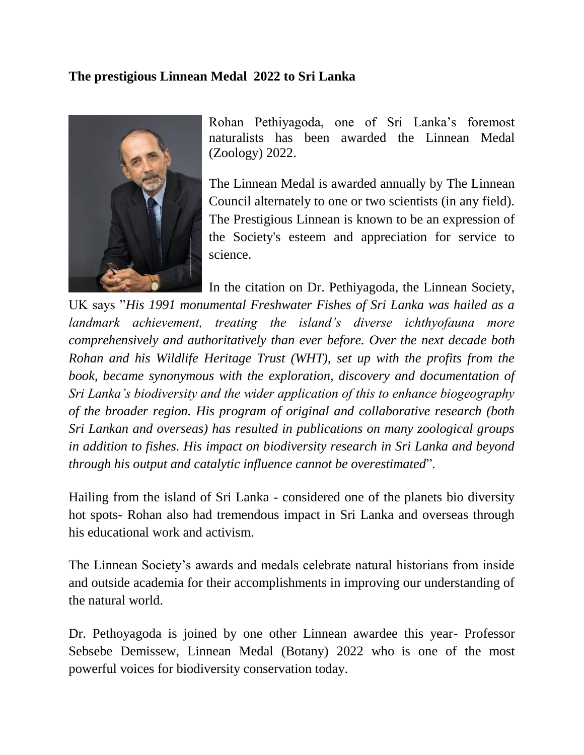## **The prestigious Linnean Medal 2022 to Sri Lanka**



Rohan Pethiyagoda, one of Sri Lanka's foremost naturalists has been awarded the Linnean Medal (Zoology) 2022.

The Linnean Medal is awarded annually by The Linnean Council alternately to one or two scientists (in any field). The Prestigious Linnean is known to be an expression of the Society's esteem and appreciation for service to science.

In the citation on Dr. Pethiyagoda, the Linnean Society,

UK says "*His 1991 monumental Freshwater Fishes of Sri Lanka was hailed as a landmark achievement, treating the island's diverse ichthyofauna more comprehensively and authoritatively than ever before. Over the next decade both Rohan and his Wildlife Heritage Trust (WHT), set up with the profits from the*  book, became synonymous with the exploration, discovery and documentation of *Sri Lanka's biodiversity and the wider application of this to enhance biogeography of the broader region. His program of original and collaborative research (both Sri Lankan and overseas) has resulted in publications on many zoological groups in addition to fishes. His impact on biodiversity research in Sri Lanka and beyond through his output and catalytic influence cannot be overestimated*".

Hailing from the island of Sri Lanka - considered one of the planets bio diversity hot spots- Rohan also had tremendous impact in Sri Lanka and overseas through his educational work and activism.

The Linnean Society's awards and medals celebrate natural historians from inside and outside academia for their accomplishments in improving our understanding of the natural world.

Dr. Pethoyagoda is joined by one other Linnean awardee this year- Professor Sebsebe Demissew, Linnean Medal (Botany) 2022 who is one of the most powerful voices for biodiversity conservation today.